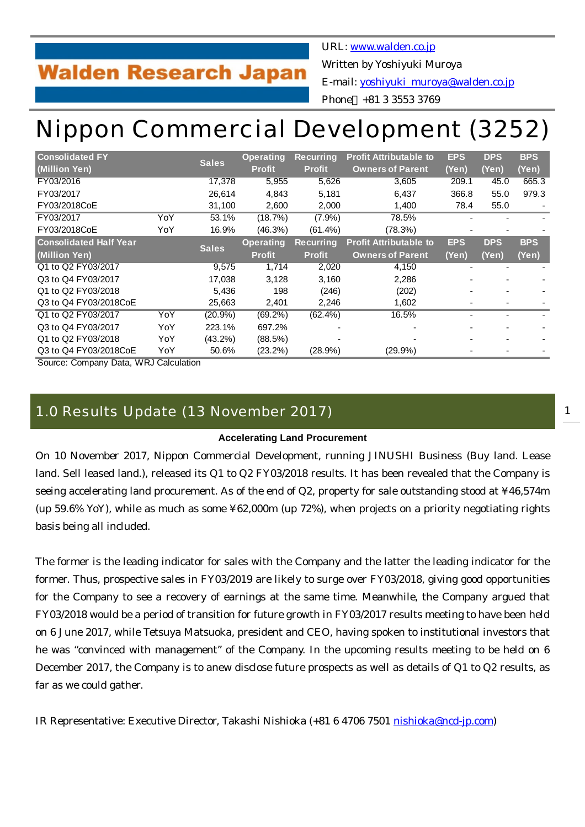## **Walden Research Japan**

URL: [www.walden.co.jp](http://www.walden.co.jp/)

Written by Yoshiyuki Muroya

E-mail: [yoshiyuki\\_muroya@walden.co.jp](mailto:yoshiyuki_muroya@walden.co.jp)

Phone +81 3 3553 3769

# Nippon Commercial Development (3252)

| <b>Consolidated FY</b>        |     | <b>Sales</b> | <b>Operating</b> | <b>Recurring</b> | <b>Profit Attributable to</b> | <b>EPS</b>               | <b>DPS</b> | <b>BPS</b> |
|-------------------------------|-----|--------------|------------------|------------------|-------------------------------|--------------------------|------------|------------|
| (Million Yen)                 |     |              | <b>Profit</b>    | <b>Profit</b>    | <b>Owners of Parent</b>       | (Yen)                    | (Yen)      | (Yen)      |
| FY03/2016                     |     | 17,378       | 5,955            | 5,626            | 3,605                         | 209.1                    | 45.0       | 665.3      |
| FY03/2017                     |     | 26,614       | 4,843            | 5,181            | 6,437                         | 366.8                    | 55.0       | 979.3      |
| FY03/2018CoE                  |     | 31,100       | 2,600            | 2,000            | 1,400                         | 78.4                     | 55.0       |            |
| FY03/2017                     | YoY | 53.1%        | (18.7%)          | $(7.9\%)$        | 78.5%                         |                          |            |            |
| FY03/2018CoE                  | YoY | 16.9%        | $(46.3\%)$       | $(61.4\%)$       | (78.3%)                       |                          |            |            |
| <b>Consolidated Half Year</b> |     |              | <b>Operating</b> | <b>Recurring</b> | <b>Profit Attributable to</b> | <b>EPS</b>               | <b>DPS</b> | <b>BPS</b> |
| (Million Yen)                 |     | <b>Sales</b> | <b>Profit</b>    | <b>Profit</b>    | <b>Owners of Parent</b>       | (Yen)                    | (Yen)      | (Yen)      |
| Q1 to Q2 FY03/2017            |     | 9,575        | 1,714            | 2,020            | 4,150                         |                          |            |            |
| Q3 to Q4 FY03/2017            |     | 17,038       | 3,128            | 3,160            | 2,286                         |                          |            |            |
| Q1 to Q2 FY03/2018            |     | 5,436        | 198              | (246)            | (202)                         | $\overline{\phantom{0}}$ |            |            |
| Q3 to Q4 FY03/2018CoE         |     | 25,663       | 2,401            | 2,246            | 1,602                         |                          |            |            |
| Q1 to Q2 FY03/2017            | YoY | (20.9%       | $(69.2\%)$       | $(62.4\%)$       | 16.5%                         | ۰                        |            |            |
| Q3 to Q4 FY03/2017            | YoY | 223.1%       | 697.2%           |                  |                               |                          |            |            |
| Q1 to Q2 FY03/2018            | YoY | $(43.2\%)$   | (88.5%)          |                  |                               |                          |            |            |
| Q3 to Q4 FY03/2018CoE         | YoY | 50.6%        | $(23.2\%)$       | $(28.9\%)$       | $(29.9\%)$                    |                          |            |            |

Source: Company Data, WRJ Calculation

### 1.0 Results Update (13 November 2017)

#### **Accelerating Land Procurement**

On 10 November 2017, Nippon Commercial Development, running JINUSHI Business (Buy land. Lease land. Sell leased land.), released its Q1 to Q2 FY03/2018 results. It has been revealed that the Company is seeing accelerating land procurement. As of the end of Q2, property for sale outstanding stood at ¥46,574m (up 59.6% YoY), while as much as some ¥62,000m (up 72%), when projects on a priority negotiating rights basis being all included.

The former is the leading indicator for sales with the Company and the latter the leading indicator for the former. Thus, prospective sales in FY03/2019 are likely to surge over FY03/2018, giving good opportunities for the Company to see a recovery of earnings at the same time. Meanwhile, the Company argued that FY03/2018 would be a period of transition for future growth in FY03/2017 results meeting to have been held on 6 June 2017, while Tetsuya Matsuoka, president and CEO, having spoken to institutional investors that he was "convinced with management" of the Company. In the upcoming results meeting to be held on 6 December 2017, the Company is to anew disclose future prospects as well as details of Q1 to Q2 results, as far as we could gather.

IR Representative: Executive Director, Takashi Nishioka (+81 6 4706 7501 [nishioka@ncd-jp.com](mailto:nishioka@ncd-jp.com))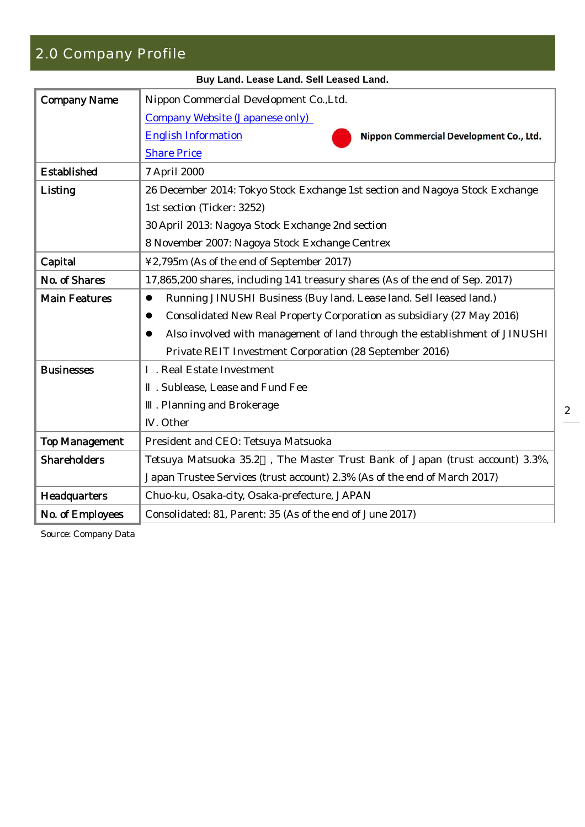## 2.0 Company Profile

|                       | Buy Land. Lease Land. Sell Leased Land.                                                 |
|-----------------------|-----------------------------------------------------------------------------------------|
| <b>Company Name</b>   | Nippon Commercial Development Co., Ltd.                                                 |
|                       | <b>Company Website (Japanese only)</b>                                                  |
|                       | <b>English Information</b><br>Nippon Commercial Development Co., Ltd.                   |
|                       | <b>Share Price</b>                                                                      |
| <b>Established</b>    | 7 April 2000                                                                            |
| Listing               | 26 December 2014: Tokyo Stock Exchange 1st section and Nagoya Stock Exchange            |
|                       | 1st section (Ticker: 3252)                                                              |
|                       | 30 April 2013: Nagoya Stock Exchange 2nd section                                        |
|                       | 8 November 2007: Nagoya Stock Exchange Centrex                                          |
| Capital               | ¥2,795m (As of the end of September 2017)                                               |
| No. of Shares         | 17,865,200 shares, including 141 treasury shares (As of the end of Sep. 2017)           |
| <b>Main Features</b>  | Running JINUSHI Business (Buy land. Lease land. Sell leased land.)<br>$\bullet$         |
|                       | Consolidated New Real Property Corporation as subsidiary (27 May 2016)<br>$\bullet$     |
|                       | Also involved with management of land through the establishment of JINUSHI<br>$\bullet$ |
|                       | Private REIT Investment Corporation (28 September 2016)                                 |
| <b>Businesses</b>     | . Real Estate Investment                                                                |
|                       | . Sublease, Lease and Fund Fee                                                          |
|                       | . Planning and Brokerage                                                                |
|                       | . Other                                                                                 |
| <b>Top Management</b> | President and CEO: Tetsuya Matsuoka                                                     |
| <b>Shareholders</b>   | Tetsuya Matsuoka 35.2 , The Master Trust Bank of Japan (trust account) 3.3%,            |
|                       | Japan Trustee Services (trust account) 2.3% (As of the end of March 2017)               |
| Headquarters          | Chuo-ku, Osaka-city, Osaka-prefecture, JAPAN                                            |
| No. of Employees      | Consolidated: 81, Parent: 35 (As of the end of June 2017)                               |
|                       |                                                                                         |

Source: Company Data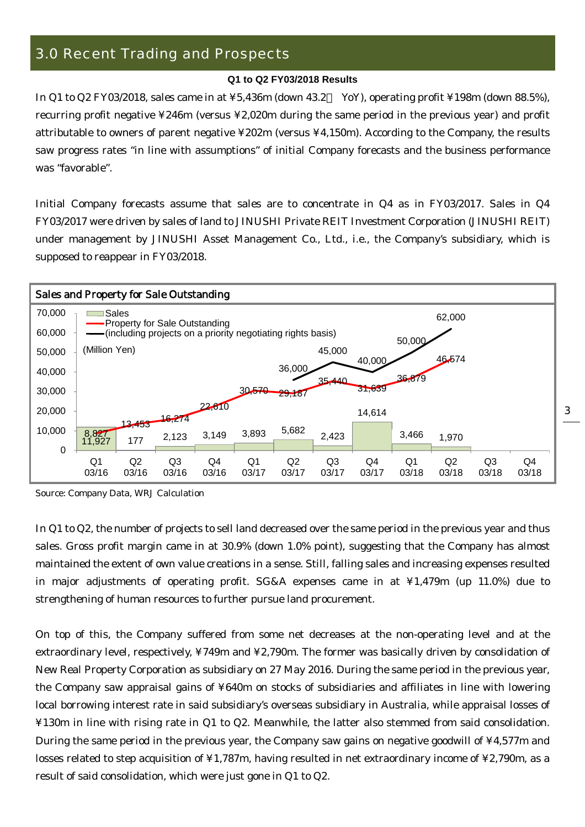## 3.0 Recent Trading and Prospects

#### **Q1 to Q2 FY03/2018 Results**

In Q1 to Q2 FY03/2018, sales came in at ¥5,436m (down 43.2 YoY), operating profit ¥198m (down 88.5%), recurring profit negative ¥246m (versus ¥2,020m during the same period in the previous year) and profit attributable to owners of parent negative ¥202m (versus ¥4,150m). According to the Company, the results saw progress rates "in line with assumptions" of initial Company forecasts and the business performance was "favorable".

Initial Company forecasts assume that sales are to concentrate in Q4 as in FY03/2017. Sales in Q4 FY03/2017 were driven by sales of land to JINUSHI Private REIT Investment Corporation (JINUSHI REIT) under management by JINUSHI Asset Management Co., Ltd., i.e., the Company's subsidiary, which is supposed to reappear in FY03/2018.



Source: Company Data, WRJ Calculation

In Q1 to Q2, the number of projects to sell land decreased over the same period in the previous year and thus sales. Gross profit margin came in at 30.9% (down 1.0% point), suggesting that the Company has almost maintained the extent of own value creations in a sense. Still, falling sales and increasing expenses resulted in major adjustments of operating profit. SG&A expenses came in at ¥1,479m (up 11.0%) due to strengthening of human resources to further pursue land procurement.

On top of this, the Company suffered from some net decreases at the non-operating level and at the extraordinary level, respectively, ¥749m and ¥2,790m. The former was basically driven by consolidation of New Real Property Corporation as subsidiary on 27 May 2016. During the same period in the previous year, the Company saw appraisal gains of ¥640m on stocks of subsidiaries and affiliates in line with lowering local borrowing interest rate in said subsidiary's overseas subsidiary in Australia, while appraisal losses of ¥130m in line with rising rate in Q1 to Q2. Meanwhile, the latter also stemmed from said consolidation. During the same period in the previous year, the Company saw gains on negative goodwill of ¥4,577m and losses related to step acquisition of ¥1,787m, having resulted in net extraordinary income of ¥2,790m, as a result of said consolidation, which were just gone in Q1 to Q2.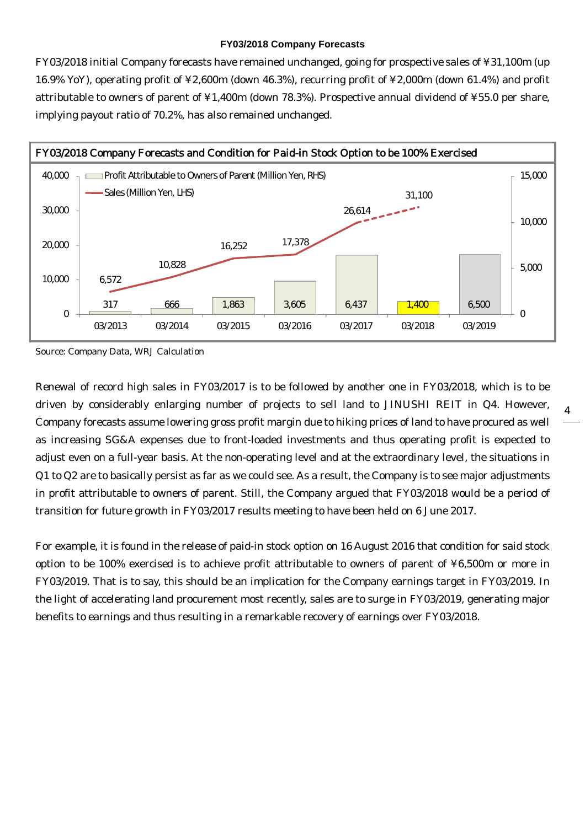#### **FY03/2018 Company Forecasts**

FY03/2018 initial Company forecasts have remained unchanged, going for prospective sales of ¥31,100m (up 16.9% YoY), operating profit of ¥2,600m (down 46.3%), recurring profit of ¥2,000m (down 61.4%) and profit attributable to owners of parent of ¥1,400m (down 78.3%). Prospective annual dividend of ¥55.0 per share, implying payout ratio of 70.2%, has also remained unchanged.



Source: Company Data, WRJ Calculation

Renewal of record high sales in FY03/2017 is to be followed by another one in FY03/2018, which is to be driven by considerably enlarging number of projects to sell land to JINUSHI REIT in Q4. However, Company forecasts assume lowering gross profit margin due to hiking prices of land to have procured as well as increasing SG&A expenses due to front-loaded investments and thus operating profit is expected to adjust even on a full-year basis. At the non-operating level and at the extraordinary level, the situations in Q1 to Q2 are to basically persist as far as we could see. As a result, the Company is to see major adjustments in profit attributable to owners of parent. Still, the Company argued that FY03/2018 would be a period of transition for future growth in FY03/2017 results meeting to have been held on 6 June 2017.

4

For example, it is found in the release of paid-in stock option on 16 August 2016 that condition for said stock option to be 100% exercised is to achieve profit attributable to owners of parent of ¥6,500m or more in FY03/2019. That is to say, this should be an implication for the Company earnings target in FY03/2019. In the light of accelerating land procurement most recently, sales are to surge in FY03/2019, generating major benefits to earnings and thus resulting in a remarkable recovery of earnings over FY03/2018.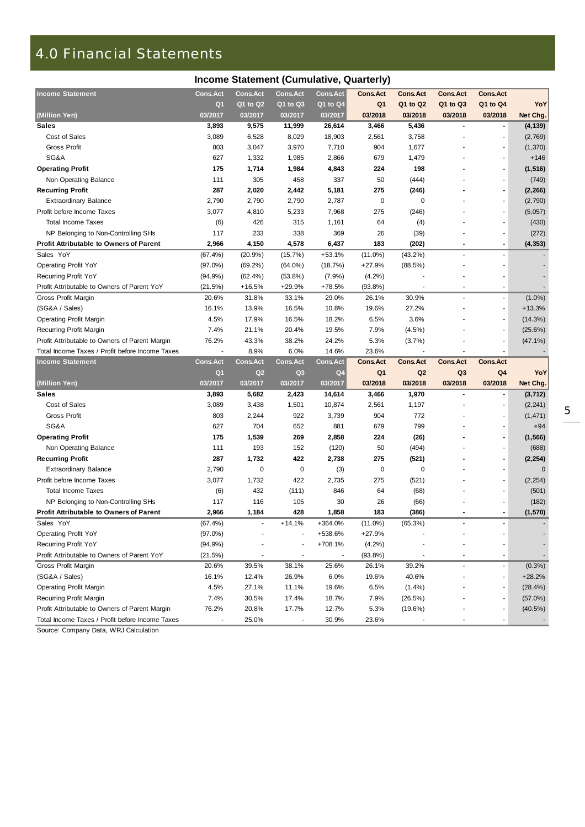## 4.0 Financial Statements

| Income Statement (Cumulative, Quarterly)        |                 |                 |                 |                 |                 |                 |                          |                          |              |  |  |  |
|-------------------------------------------------|-----------------|-----------------|-----------------|-----------------|-----------------|-----------------|--------------------------|--------------------------|--------------|--|--|--|
| <b>Income Statement</b>                         | <b>Cons.Act</b> | <b>Cons.Act</b> | <b>Cons.Act</b> | Cons.Act        | <b>Cons.Act</b> | <b>Cons.Act</b> | <b>Cons.Act</b>          | <b>Cons.Act</b>          |              |  |  |  |
|                                                 | Q <sub>1</sub>  | Q1 to Q2        | Q1 to Q3        | $Q1$ to $Q4$    | Q <sub>1</sub>  | Q1 to Q2        | Q1 to Q3                 | Q1 to Q4                 | YoY          |  |  |  |
| (Million Yen)                                   | 03/2017         | 03/2017         | 03/2017         | 03/2017         | 03/2018         | 03/2018         | 03/2018                  | 03/2018                  | Net Chg.     |  |  |  |
| <b>Sales</b>                                    | 3,893           | 9,575           | 11,999          | 26,614          | 3,466           | 5,436           |                          | $\overline{\phantom{a}}$ | (4, 139)     |  |  |  |
| Cost of Sales                                   | 3,089           | 6,528           | 8,029           | 18,903          | 2,561           | 3,758           |                          |                          | (2,769)      |  |  |  |
| <b>Gross Profit</b>                             | 803             | 3,047           | 3,970           | 7,710           | 904             | 1,677           |                          |                          | (1, 370)     |  |  |  |
| SG&A                                            | 627             | 1,332           | 1,985           | 2,866           | 679             | 1,479           |                          |                          | $+146$       |  |  |  |
| <b>Operating Profit</b>                         | 175             | 1,714           | 1,984           | 4,843           | 224             | 198             |                          | $\blacksquare$           | (1, 516)     |  |  |  |
| Non Operating Balance                           | 111             | 305             | 458             | 337             | 50              | (444)           |                          |                          | (749)        |  |  |  |
| <b>Recurring Profit</b>                         | 287             | 2,020           | 2,442           | 5,181           | 275             | (246)           |                          | $\blacksquare$           | (2, 266)     |  |  |  |
| <b>Extraordinary Balance</b>                    | 2,790           | 2,790           | 2,790           | 2,787           | 0               | 0               |                          | ٠                        | (2,790)      |  |  |  |
| Profit before Income Taxes                      | 3,077           | 4,810           | 5,233           | 7,968           | 275             | (246)           |                          |                          | (5,057)      |  |  |  |
| <b>Total Income Taxes</b>                       | (6)             | 426             | 315             | 1,161           | 64              | (4)             |                          |                          | (430)        |  |  |  |
| NP Belonging to Non-Controlling SHs             | 117             | 233             | 338             | 369             | 26              | (39)            |                          |                          | (272)        |  |  |  |
| <b>Profit Attributable to Owners of Parent</b>  | 2,966           | 4,150           | 4,578           | 6,437           | 183             | (202)           | $\overline{\phantom{0}}$ | $\blacksquare$           | (4, 353)     |  |  |  |
| Sales YoY                                       | $(67.4\%)$      | (20.9%          | (15.7%)         | $+53.1%$        | $(11.0\%)$      | $(43.2\%)$      |                          | $\overline{\phantom{a}}$ |              |  |  |  |
| <b>Operating Profit YoY</b>                     | $(97.0\%)$      | $(69.2\%)$      | $(64.0\%)$      | (18.7%)         | $+27.9%$        | (88.5%)         |                          |                          |              |  |  |  |
| Recurring Profit YoY                            | $(94.9\%)$      | $(62.4\%)$      | $(53.8\%)$      | (7.9%)          | $(4.2\%)$       |                 |                          |                          |              |  |  |  |
| Profit Attributable to Owners of Parent YoY     | (21.5%)         | $+16.5%$        | $+29.9%$        | $+78.5%$        | $(93.8\%)$      |                 |                          | $\overline{\phantom{a}}$ |              |  |  |  |
| Gross Profit Margin                             | 20.6%           | 31.8%           | 33.1%           | 29.0%           | 26.1%           | 30.9%           |                          | ä,                       | $(1.0\%)$    |  |  |  |
| (SG&A / Sales)                                  | 16.1%           | 13.9%           | 16.5%           | 10.8%           | 19.6%           | 27.2%           |                          | $\overline{\phantom{a}}$ | $+13.3%$     |  |  |  |
| <b>Operating Profit Margin</b>                  | 4.5%            | 17.9%           | 16.5%           | 18.2%           | 6.5%            | 3.6%            |                          |                          | (14.3%)      |  |  |  |
| Recurring Profit Margin                         | 7.4%            | 21.1%           | 20.4%           | 19.5%           | 7.9%            | (4.5%)          |                          |                          | (25.6%)      |  |  |  |
| Profit Attributable to Owners of Parent Margin  | 76.2%           | 43.3%           | 38.2%           | 24.2%           | 5.3%            | (3.7%)          |                          | ٠                        | $(47.1\%)$   |  |  |  |
| Total Income Taxes / Profit before Income Taxes |                 | 8.9%            | 6.0%            | 14.6%           | 23.6%           |                 |                          |                          |              |  |  |  |
| <b>Income Statement</b>                         | <b>Cons.Act</b> | <b>Cons.Act</b> | <b>Cons.Act</b> | <b>Cons.Act</b> | <b>Cons.Act</b> | <b>Cons.Act</b> | <b>Cons.Act</b>          | <b>Cons.Act</b>          |              |  |  |  |
|                                                 | Q1              | Q2              | Q <sub>3</sub>  | Q4              | Q1              | Q <sub>2</sub>  | Q3                       | Q4                       | YoY          |  |  |  |
| (Million Yen)                                   | 03/2017         | 03/2017         | 03/2017         | 03/2017         | 03/2018         | 03/2018         | 03/2018                  | 03/2018                  | Net Chg.     |  |  |  |
| <b>Sales</b>                                    | 3,893           | 5,682           | 2,423           | 14,614          | 3,466           | 1,970           |                          | $\overline{\phantom{a}}$ | (3, 712)     |  |  |  |
| Cost of Sales                                   | 3,089           | 3,438           | 1,501           | 10,874          | 2,561           | 1,197           |                          |                          | (2, 241)     |  |  |  |
| <b>Gross Profit</b>                             | 803             | 2,244           | 922             | 3,739           | 904             | 772             |                          |                          | (1, 471)     |  |  |  |
| SG&A                                            | 627             | 704             | 652             | 881             | 679             | 799             |                          | ä,                       | $+94$        |  |  |  |
| <b>Operating Profit</b>                         | 175             | 1,539           | 269             | 2,858           | 224             | (26)            |                          | $\blacksquare$           | (1, 566)     |  |  |  |
| Non Operating Balance                           | 111             | 193             | 152             | (120)           | 50              | (494)           |                          |                          | (688)        |  |  |  |
| <b>Recurring Profit</b>                         | 287             | 1,732           | 422             | 2,738           | 275             | (521)           |                          | $\blacksquare$           | (2, 254)     |  |  |  |
| <b>Extraordinary Balance</b>                    | 2,790           | 0               | 0               | (3)             | $\mathbf 0$     | 0               |                          |                          | $\mathbf{0}$ |  |  |  |
| Profit before Income Taxes                      | 3,077           | 1,732           | 422             | 2,735           | 275             | (521)           |                          |                          | (2, 254)     |  |  |  |
| <b>Total Income Taxes</b>                       | (6)             | 432             | (111)           | 846             | 64              | (68)            |                          |                          | (501)        |  |  |  |
| NP Belonging to Non-Controlling SHs             | 117             | 116             | 105             | 30              | 26              | (66)            |                          |                          | (182)        |  |  |  |
| <b>Profit Attributable to Owners of Parent</b>  | 2,966           | 1,184           | 428             | 1,858           | 183             | (386)           |                          |                          | (1, 570)     |  |  |  |
| Sales YoY                                       | (67.4%)         | $\sim$          | $+14.1%$        | +364.0%         | $(11.0\%)$      | (65.3%)         |                          |                          |              |  |  |  |
| <b>Operating Profit YoY</b>                     | $(97.0\%)$      |                 |                 | +538.6%         | $+27.9%$        |                 |                          |                          |              |  |  |  |
| Recurring Profit YoY                            | (94.9%)         |                 |                 | $+708.1%$       | (4.2%)          |                 |                          |                          |              |  |  |  |
| Profit Attributable to Owners of Parent YoY     | (21.5%)         |                 |                 |                 | $(93.8\%)$      |                 |                          | ÷,                       |              |  |  |  |
| Gross Profit Margin                             | 20.6%           | 39.5%           | 38.1%           | 25.6%           | 26.1%           | 39.2%           |                          |                          | $(0.3\%)$    |  |  |  |
| (SG&A / Sales)                                  | 16.1%           | 12.4%           | 26.9%           | 6.0%            | 19.6%           | 40.6%           |                          |                          | $+28.2%$     |  |  |  |
| <b>Operating Profit Margin</b>                  | 4.5%            | 27.1%           | 11.1%           | 19.6%           | 6.5%            | $(1.4\%)$       |                          |                          | $(28.4\%)$   |  |  |  |
| Recurring Profit Margin                         | 7.4%            | 30.5%           | 17.4%           | 18.7%           | 7.9%            | (26.5%)         |                          |                          | (57.0%)      |  |  |  |
|                                                 |                 |                 |                 |                 |                 |                 |                          |                          |              |  |  |  |
| Profit Attributable to Owners of Parent Margin  | 76.2%           | 20.8%           | 17.7%           | 12.7%           | 5.3%            | (19.6%)         |                          |                          | $(40.5\%)$   |  |  |  |

Source: Company Data, WRJ Calculation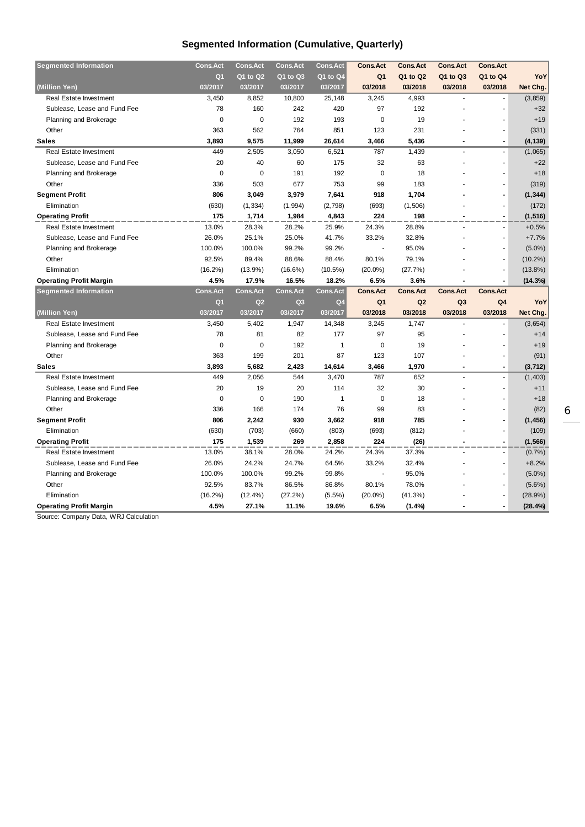### **Segmented Information (Cumulative, Quarterly)**

| <b>Segmented Information</b>   | <b>Cons.Act</b> | <b>Cons.Act</b> | <b>Cons.Act</b> | <b>Cons.Act</b> | <b>Cons.Act</b> | <b>Cons.Act</b> | <b>Cons.Act</b> | <b>Cons.Act</b> |            |
|--------------------------------|-----------------|-----------------|-----------------|-----------------|-----------------|-----------------|-----------------|-----------------|------------|
|                                | Q <sub>1</sub>  | Q1 to Q2        | Q1 to Q3        | Q1 to Q4        | Q <sub>1</sub>  | Q1 to Q2        | Q1 to Q3        | Q1 to Q4        | YoY        |
| (Million Yen)                  | 03/2017         | 03/2017         | 03/2017         | 03/2017         | 03/2018         | 03/2018         | 03/2018         | 03/2018         | Net Chg.   |
| Real Estate Investment         | 3,450           | 8,852           | 10,800          | 25,148          | 3,245           | 4,993           |                 |                 | (3, 859)   |
| Sublease, Lease and Fund Fee   | 78              | 160             | 242             | 420             | 97              | 192             |                 |                 | $+32$      |
| Planning and Brokerage         | $\mathbf 0$     | 0               | 192             | 193             | $\mathbf 0$     | 19              |                 |                 | $+19$      |
| Other                          | 363             | 562             | 764             | 851             | 123             | 231             |                 |                 | (331)      |
| <b>Sales</b>                   | 3,893           | 9,575           | 11,999          | 26,614          | 3,466           | 5,436           |                 | $\blacksquare$  | (4, 139)   |
| <b>Real Estate Investment</b>  | 449             | 2,505           | 3,050           | 6,521           | 787             | 1,439           |                 |                 | (1,065)    |
| Sublease, Lease and Fund Fee   | 20              | 40              | 60              | 175             | 32              | 63              |                 |                 | $+22$      |
| Planning and Brokerage         | 0               | 0               | 191             | 192             | $\mathbf 0$     | 18              |                 |                 | $+18$      |
| Other                          | 336             | 503             | 677             | 753             | 99              | 183             |                 |                 | (319)      |
| <b>Segment Profit</b>          | 806             | 3,049           | 3,979           | 7,641           | 918             | 1,704           |                 |                 | (1, 344)   |
| Elimination                    | (630)           | (1, 334)        | (1, 994)        | (2,798)         | (693)           | (1,506)         |                 |                 | (172)      |
| <b>Operating Profit</b>        | 175             | 1,714           | 1,984           | 4,843           | 224             | 198             |                 | $\blacksquare$  | (1, 516)   |
| <b>Real Estate Investment</b>  | 13.0%           | 28.3%           | 28.2%           | 25.9%           | 24.3%           | 28.8%           |                 |                 | $+0.5%$    |
| Sublease, Lease and Fund Fee   | 26.0%           | 25.1%           | 25.0%           | 41.7%           | 33.2%           | 32.8%           |                 |                 | $+7.7%$    |
| Planning and Brokerage         | 100.0%          | 100.0%          | 99.2%           | 99.2%           |                 | 95.0%           |                 |                 | $(5.0\%)$  |
| Other                          | 92.5%           | 89.4%           | 88.6%           | 88.4%           | 80.1%           | 79.1%           |                 |                 | $(10.2\%)$ |
| Elimination                    | $(16.2\%)$      | $(13.9\%)$      | $(16.6\%)$      | $(10.5\%)$      | $(20.0\%)$      | (27.7%)         |                 |                 | $(13.8\%)$ |
| <b>Operating Profit Margin</b> | 4.5%            | 17.9%           | 16.5%           | 18.2%           | 6.5%            | 3.6%            |                 |                 | (14.3%)    |
|                                |                 |                 |                 |                 |                 |                 |                 |                 |            |
| <b>Segmented Information</b>   | <b>Cons.Act</b> | <b>Cons.Act</b> | <b>Cons.Act</b> | <b>Cons.Act</b> | <b>Cons.Act</b> | <b>Cons.Act</b> | <b>Cons.Act</b> | <b>Cons.Act</b> |            |
|                                | Q <sub>1</sub>  | Q2              | Q <sub>3</sub>  | Q <sub>4</sub>  | Q <sub>1</sub>  | Q2              | Q <sub>3</sub>  | Q <sub>4</sub>  | YoY        |
| (Million Yen)                  | 03/2017         | 03/2017         | 03/2017         | 03/2017         | 03/2018         | 03/2018         | 03/2018         | 03/2018         | Net Chg.   |
| Real Estate Investment         | 3,450           | 5,402           | 1,947           | 14,348          | 3,245           | 1,747           |                 |                 | (3,654)    |
| Sublease, Lease and Fund Fee   | 78              | 81              | 82              | 177             | 97              | 95              |                 |                 | $+14$      |
| Planning and Brokerage         | 0               | 0               | 192             | 1               | 0               | 19              |                 |                 | $+19$      |
| Other                          | 363             | 199             | 201             | 87              | 123             | 107             |                 |                 | (91)       |
| <b>Sales</b>                   | 3,893           | 5,682           | 2,423           | 14,614          | 3,466           | 1,970           |                 | $\blacksquare$  | (3, 712)   |
| <b>Real Estate Investment</b>  | 449             | 2,056           | 544             | 3,470           | 787             | 652             |                 |                 | (1, 403)   |
| Sublease, Lease and Fund Fee   | 20              | 19              | 20              | 114             | 32              | 30              |                 | ÷               | $+11$      |
| Planning and Brokerage         | 0               | 0               | 190             | 1               | 0               | 18              |                 |                 | $+18$      |
| Other                          | 336             | 166             | 174             | 76              | 99              | 83              |                 |                 | (82)       |
| <b>Segment Profit</b>          | 806             | 2,242           | 930             | 3,662           | 918             | 785             |                 | $\blacksquare$  | (1, 456)   |
| Elimination                    | (630)           | (703)           | (660)           | (803)           | (693)           | (812)           |                 |                 | (109)      |
| <b>Operating Profit</b>        | 175             | 1,539           | 269             | 2,858           | 224             | (26)            |                 | $\blacksquare$  | (1, 566)   |
| Real Estate Investment         | 13.0%           | 38.1%           | 28.0%           | 24.2%           | 24.3%           | 37.3%           |                 |                 | (0.7%      |
| Sublease, Lease and Fund Fee   | 26.0%           | 24.2%           | 24.7%           | 64.5%           | 33.2%           | 32.4%           |                 |                 | $+8.2%$    |
| Planning and Brokerage         | 100.0%          | 100.0%          | 99.2%           | 99.8%           |                 | 95.0%           |                 |                 | $(5.0\%)$  |
| Other                          | 92.5%           | 83.7%           | 86.5%           | 86.8%           | 80.1%           | 78.0%           |                 |                 | $(5.6\%)$  |
| Elimination                    | $(16.2\%)$      | $(12.4\%)$      | (27.2%)         | $(5.5\%)$       | $(20.0\%)$      | (41.3%)         |                 |                 | (28.9%)    |

Source: Company Data, WRJ Calculation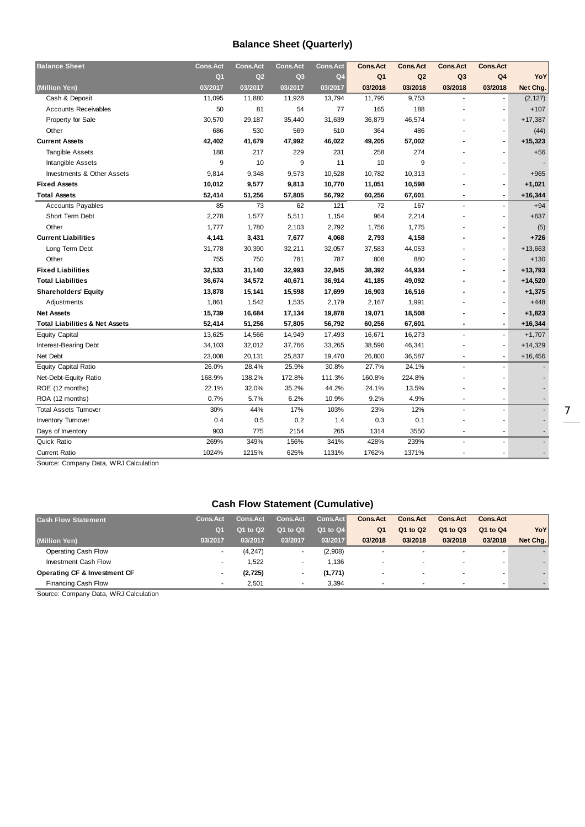#### **Balance Sheet (Quarterly)**

| <b>Balance Sheet</b>                      | <b>Cons.Act</b> | <b>Cons.Act</b> | <b>Cons.Act</b> | <b>Cons.Act</b> | <b>Cons.Act</b> | <b>Cons.Act</b> | <b>Cons.Act</b> | <b>Cons.Act</b> |           |
|-------------------------------------------|-----------------|-----------------|-----------------|-----------------|-----------------|-----------------|-----------------|-----------------|-----------|
|                                           | Q <sub>1</sub>  | Q2              | Q <sub>3</sub>  | Q <sub>4</sub>  | Q <sub>1</sub>  | Q2              | Q <sub>3</sub>  | Q <sub>4</sub>  | YoY       |
| (Million Yen)                             | 03/2017         | 03/2017         | 03/2017         | 03/2017         | 03/2018         | 03/2018         | 03/2018         | 03/2018         | Net Chg.  |
| Cash & Deposit                            | 11,095          | 11,880          | 11,928          | 13,794          | 11,795          | 9,753           |                 |                 | (2, 127)  |
| <b>Accounts Receivables</b>               | 50              | 81              | 54              | 77              | 165             | 188             |                 |                 | $+107$    |
| Property for Sale                         | 30,570          | 29,187          | 35,440          | 31,639          | 36,879          | 46,574          |                 | ä,              | $+17,387$ |
| Other                                     | 686             | 530             | 569             | 510             | 364             | 486             |                 |                 | (44)      |
| <b>Current Assets</b>                     | 42,402          | 41,679          | 47,992          | 46,022          | 49,205          | 57,002          |                 |                 | $+15,323$ |
| <b>Tangible Assets</b>                    | 188             | 217             | 229             | 231             | 258             | 274             |                 |                 | $+56$     |
| <b>Intangible Assets</b>                  | 9               | 10              | 9               | 11              | 10              | 9               |                 |                 |           |
| Investments & Other Assets                | 9,814           | 9,348           | 9,573           | 10,528          | 10,782          | 10,313          |                 |                 | $+965$    |
| <b>Fixed Assets</b>                       | 10,012          | 9,577           | 9,813           | 10,770          | 11,051          | 10,598          |                 |                 | $+1,021$  |
| <b>Total Assets</b>                       | 52,414          | 51,256          | 57,805          | 56,792          | 60,256          | 67,601          |                 | $\blacksquare$  | $+16,344$ |
| <b>Accounts Payables</b>                  | 85              | 73              | 62              | 121             | 72              | 167             |                 |                 | $+94$     |
| Short Term Debt                           | 2,278           | 1,577           | 5,511           | 1,154           | 964             | 2,214           |                 |                 | $+637$    |
| Other                                     | 1,777           | 1,780           | 2,103           | 2,792           | 1,756           | 1,775           |                 |                 | (5)       |
| <b>Current Liabilities</b>                | 4,141           | 3,431           | 7,677           | 4,068           | 2,793           | 4,158           |                 |                 | $+726$    |
| Long Term Debt                            | 31,778          | 30,390          | 32,211          | 32,057          | 37,583          | 44,053          |                 |                 | $+13,663$ |
| Other                                     | 755             | 750             | 781             | 787             | 808             | 880             |                 |                 | $+130$    |
| <b>Fixed Liabilities</b>                  | 32,533          | 31,140          | 32,993          | 32,845          | 38,392          | 44,934          |                 | $\blacksquare$  | $+13,793$ |
| <b>Total Liabilities</b>                  | 36,674          | 34,572          | 40,671          | 36,914          | 41,185          | 49,092          |                 |                 | $+14,520$ |
| <b>Shareholders' Equity</b>               | 13,878          | 15,141          | 15,598          | 17,699          | 16,903          | 16,516          |                 |                 | $+1,375$  |
| Adjustments                               | 1,861           | 1,542           | 1,535           | 2,179           | 2,167           | 1,991           |                 |                 | $+448$    |
| <b>Net Assets</b>                         | 15,739          | 16,684          | 17,134          | 19,878          | 19,071          | 18,508          |                 |                 | $+1,823$  |
| <b>Total Liabilities &amp; Net Assets</b> | 52,414          | 51,256          | 57,805          | 56,792          | 60,256          | 67,601          |                 | $\blacksquare$  | $+16,344$ |
| <b>Equity Capital</b>                     | 13,625          | 14,566          | 14,949          | 17,493          | 16,671          | 16,273          |                 |                 | $+1,707$  |
| Interest-Bearing Debt                     | 34,103          | 32,012          | 37,766          | 33,265          | 38,596          | 46,341          |                 |                 | $+14,329$ |
| Net Debt                                  | 23,008          | 20,131          | 25,837          | 19,470          | 26,800          | 36,587          |                 | ٠               | $+16,456$ |
| <b>Equity Capital Ratio</b>               | 26.0%           | 28.4%           | 25.9%           | 30.8%           | 27.7%           | 24.1%           |                 |                 |           |
| Net-Debt-Equity Ratio                     | 168.9%          | 138.2%          | 172.8%          | 111.3%          | 160.8%          | 224.8%          |                 |                 |           |
| ROE (12 months)                           | 22.1%           | 32.0%           | 35.2%           | 44.2%           | 24.1%           | 13.5%           |                 |                 |           |
| ROA (12 months)                           | 0.7%            | 5.7%            | 6.2%            | 10.9%           | 9.2%            | 4.9%            | ۰               | $\overline{a}$  |           |
| <b>Total Assets Turnover</b>              | 30%             | 44%             | 17%             | 103%            | 23%             | 12%             | ٠               | ÷,              |           |
| <b>Inventory Turnover</b>                 | 0.4             | 0.5             | 0.2             | 1.4             | 0.3             | 0.1             |                 |                 |           |
| Days of Inventory                         | 903             | 775             | 2154            | 265             | 1314            | 3550            | ÷,              | ÷,              |           |
| <b>Quick Ratio</b>                        | 269%            | 349%            | 156%            | 341%            | 428%            | 239%            |                 | ä,              |           |
| <b>Current Ratio</b>                      | 1024%           | 1215%           | 625%            | 1131%           | 1762%           | 1371%           |                 | $\blacksquare$  |           |
|                                           |                 |                 |                 |                 |                 |                 |                 |                 |           |

Source: Company Data, WRJ Calculation

### **Cash Flow Statement (Cumulative)**

| <b>Cash Flow Statement</b>              | <b>Cons.Act</b>          | <b>Cons.Act</b> | <b>Cons.Act</b>          | Cons.Act | <b>Cons.Act</b> | <b>Cons.Act</b>          | <b>Cons.Act</b>          | <b>Cons.Act</b>          |          |
|-----------------------------------------|--------------------------|-----------------|--------------------------|----------|-----------------|--------------------------|--------------------------|--------------------------|----------|
|                                         | Q1                       | Q1 to Q2        | Q1 to Q3                 | Q1 to Q4 | Q <sub>1</sub>  | Q1 to Q2                 | Q1 to Q3                 | Q1 to Q4                 | YoY      |
| (Million Yen)                           | 03/2017                  | 03/2017         | 03/2017                  | 03/2017  | 03/2018         | 03/2018                  | 03/2018                  | 03/2018                  | Net Chg. |
| Operating Cash Flow                     | $\overline{\phantom{a}}$ | (4, 247)        |                          | (2,908)  |                 | $\overline{\phantom{a}}$ | $\overline{\phantom{a}}$ | $\overline{\phantom{a}}$ |          |
| Investment Cash Flow                    | $\overline{\phantom{a}}$ | 1.522           |                          | 1.136    |                 | $\overline{\phantom{a}}$ | $\overline{\phantom{a}}$ | $\overline{\phantom{a}}$ |          |
| <b>Operating CF &amp; Investment CF</b> | $\blacksquare$           | (2, 725)        | $\overline{\phantom{0}}$ | (1, 771) | $\blacksquare$  | $\blacksquare$           |                          |                          |          |
| <b>Financing Cash Flow</b>              |                          | 2.501           | ۰                        | 3.394    | ۰               |                          |                          |                          |          |

Source: Company Data, WRJ Calculation